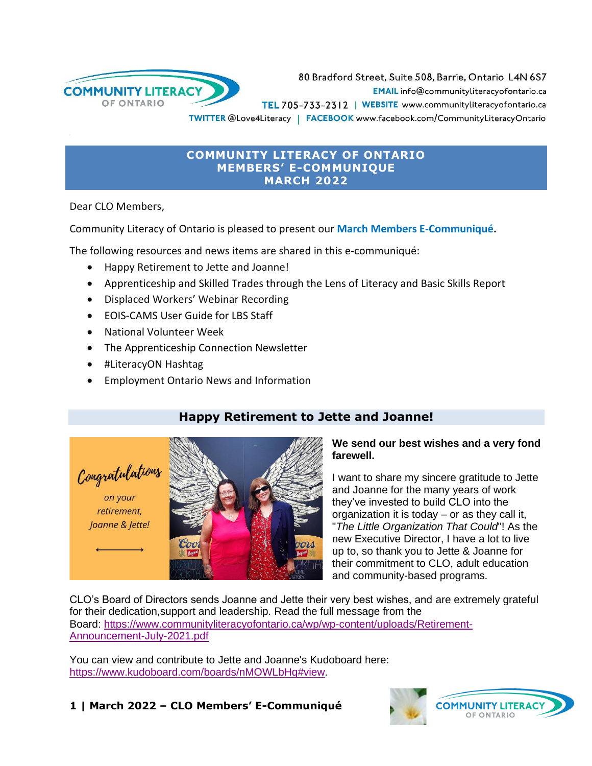

80 Bradford Street, Suite 508, Barrie, Ontario L4N 6S7 EMAIL info@communityliteracyofontario.ca TEL 705-733-2312 | WEBSITE www.communityliteracyofontario.ca TWITTER @Love4Literacy | FACEBOOK www.facebook.com/CommunityLiteracyOntario

#### **COMMUNITY LITERACY OF ONTARIO MEMBERS' E-COMMUNIQUE MARCH 2022**

Dear CLO Members,

Community Literacy of Ontario is pleased to present our **March Members E-Communiqué.**

The following resources and news items are shared in this e-communiqué:

- Happy Retirement to Jette and Joanne!
- Apprenticeship and Skilled Trades through the Lens of Literacy and Basic Skills Report
- Displaced Workers' Webinar Recording
- EOIS-CAMS User Guide for LBS Staff
- National Volunteer Week
- The Apprenticeship Connection Newsletter
- #LiteracyON Hashtag
- Employment Ontario News and Information

#### **Happy Retirement to Jette and Joanne!**



#### **We send our best wishes and a very fond farewell.**

I want to share my sincere gratitude to Jette and Joanne for the many years of work they've invested to build CLO into the organization it is today – or as they call it, "*The Little Organization That Could*"! As the new Executive Director, I have a lot to live up to, so thank you to Jette & Joanne for their commitment to CLO, adult education and community-based programs.

CLO's Board of Directors sends Joanne and Jette their very best wishes, and are extremely grateful for their dedication,support and leadership. Read the full message from the Board: [https://www.communityliteracyofontario.ca/wp/wp-content/uploads/Retirement-](https://www.communityliteracyofontario.ca/wp/wp-content/uploads/Retirement-Announcement-July-2021.pdf)[Announcement-July-2021.pdf](https://www.communityliteracyofontario.ca/wp/wp-content/uploads/Retirement-Announcement-July-2021.pdf)

You can view and contribute to Jette and Joanne's Kudoboard here: [https://www.kudoboard.com/boards/nMOWLbHq#view.](https://www.kudoboard.com/boards/nMOWLbHq#view)

#### **1 | March 2022 – CLO Members' E-Communiqué**

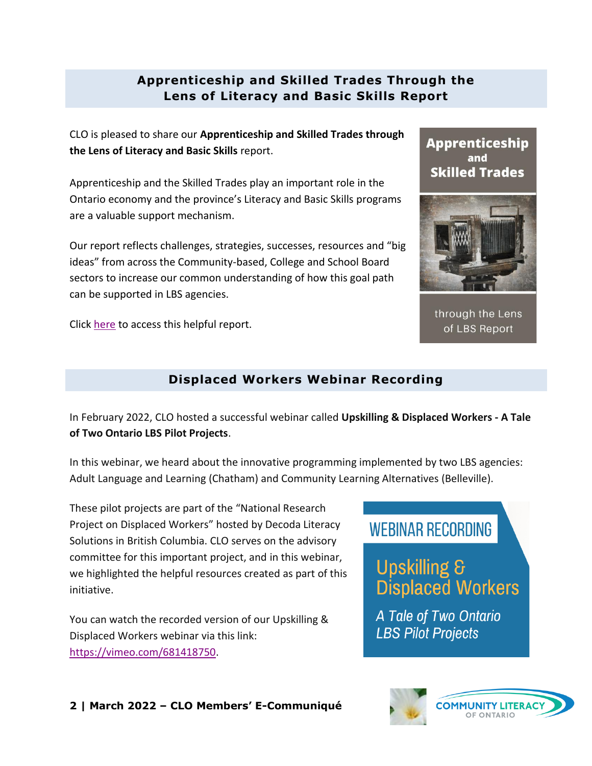# **Apprenticeship and Skilled Trades Through the Lens of Literacy and Basic Skills Report**

CLO is pleased to share our **Apprenticeship and Skilled Trades through the Lens of Literacy and Basic Skills** report.

Apprenticeship and the Skilled Trades play an important role in the Ontario economy and the province's Literacy and Basic Skills programs are a valuable support mechanism.

Our report reflects challenges, strategies, successes, resources and "big ideas" from across the Community-based, College and School Board sectors to increase our common understanding of how this goal path can be supported in LBS agencies.

Click [here](https://www.communityliteracyofontario.ca/wp/wp-content/uploads/CLOs-Apprenticeship-and-the-Skilled-Trades-Report-March-2022.pdf) to access this helpful report.

# **Displaced Workers Webinar Recording**

In February 2022, CLO hosted a successful webinar called **Upskilling & Displaced Workers - A Tale of Two Ontario LBS Pilot Projects**.

In this webinar, we heard about the innovative programming implemented by two LBS agencies: Adult Language and Learning (Chatham) and Community Learning Alternatives (Belleville).

These pilot projects are part of the "National Research Project on Displaced Workers" hosted by Decoda Literacy Solutions in British Columbia. CLO serves on the advisory committee for this important project, and in this webinar, we highlighted the helpful resources created as part of this initiative.

You can watch the recorded version of our Upskilling & Displaced Workers webinar via this link: [https://vimeo.com/681418750.](https://vimeo.com/681418750)

#### **2 | March 2022 – CLO Members' E-Communiqué**

# **WEBINAR RECORDING**

**Upskilling &<br>Displaced Workers** 

A Tale of Two Ontario **LBS Pilot Projects** 



#### **Apprenticeship** and **Skilled Trades**



through the Lens of LBS Report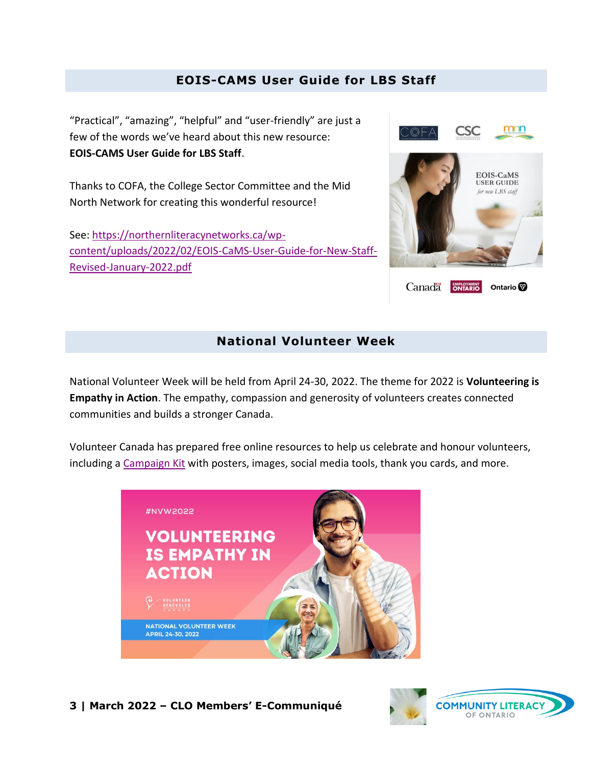#### **EOIS-CAMS User Guide for LBS Staff**

"Practical", "amazing", "helpful" and "user-friendly" are just a few of the words we've heard about this new resource: **EOIS-CAMS User Guide for LBS Staff**.

Thanks to COFA, the College Sector Committee and the Mid North Network for creating this wonderful resource!

See: [https://northernliteracynetworks.ca/wp](https://northernliteracynetworks.ca/wp-content/uploads/2022/02/EOIS-CaMS-User-Guide-for-New-Staff-Revised-January-2022.pdf)[content/uploads/2022/02/EOIS-CaMS-User-Guide-for-New-Staff-](https://northernliteracynetworks.ca/wp-content/uploads/2022/02/EOIS-CaMS-User-Guide-for-New-Staff-Revised-January-2022.pdf)[Revised-January-2022.pdf](https://northernliteracynetworks.ca/wp-content/uploads/2022/02/EOIS-CaMS-User-Guide-for-New-Staff-Revised-January-2022.pdf)



#### **National Volunteer Week**

National Volunteer Week will be held from April 24-30, 2022. The theme for 2022 is **Volunteering is Empathy in Action**. The empathy, compassion and generosity of volunteers creates connected communities and builds a stronger Canada.

Volunteer Canada has prepared free online resources to help us celebrate and honour volunteers, including a [Campaign Kit](https://www.volunteer.ca/nvw2017) with posters, images, social media tools, thank you cards, and more.



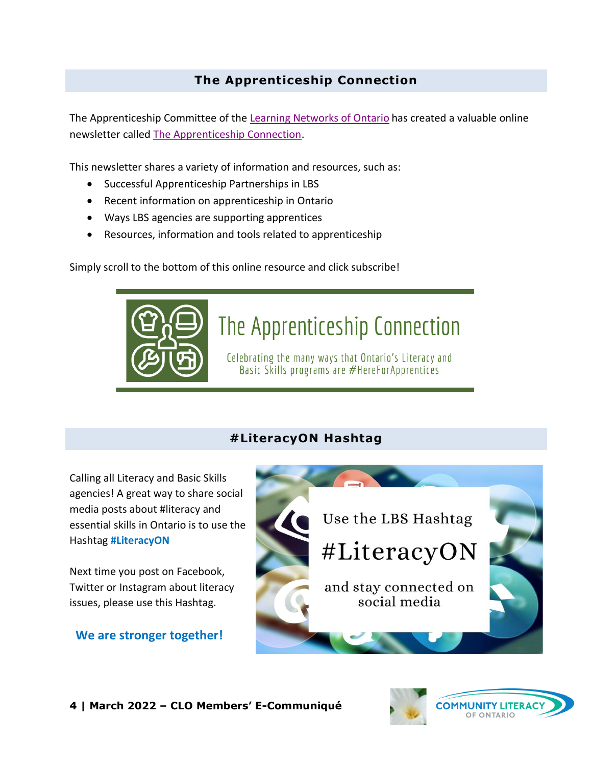## **The Apprenticeship Connection**

The Apprenticeship Committee of the [Learning Networks of Ontario](http://www.learningnetworks.ca/) has created a valuable online newsletter called [The Apprenticeship Connection.](https://mailchi.mp/290a8626c3f1/the-apprenticeship-connection)

This newsletter shares a variety of information and resources, such as:

- Successful Apprenticeship Partnerships in LBS
- Recent information on apprenticeship in Ontario
- Ways LBS agencies are supporting apprentices
- Resources, information and tools related to apprenticeship

Simply scroll to the bottom of this online resource and click subscribe!



#### **#LiteracyON Hashtag**

Calling all Literacy and Basic Skills agencies! A great way to share social media posts about #literacy and essential skills in Ontario is to use the Hashtag **#LiteracyON**

Next time you post on Facebook, Twitter or Instagram about literacy issues, please use this Hashtag.

#### **We are stronger together!**